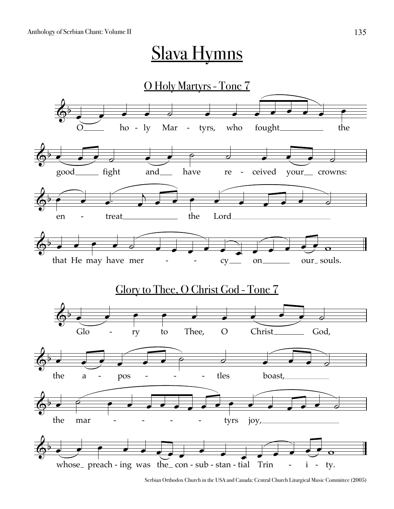## <u>Slava Hymns</u>



Serbian Orthodox Church in the USA and Canada: Central Church Liturgical Music Committee (2005)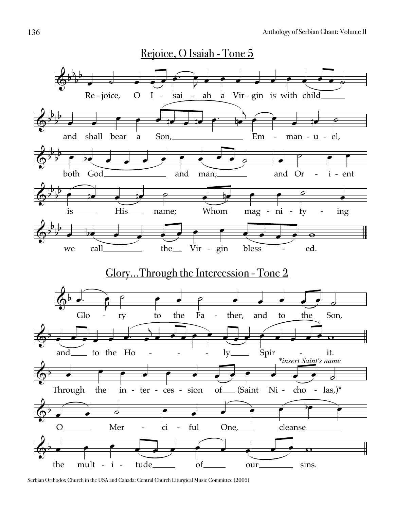

Serbian Orthodox Church in the USA and Canada: Central Church Liturgical Music Committee (2005)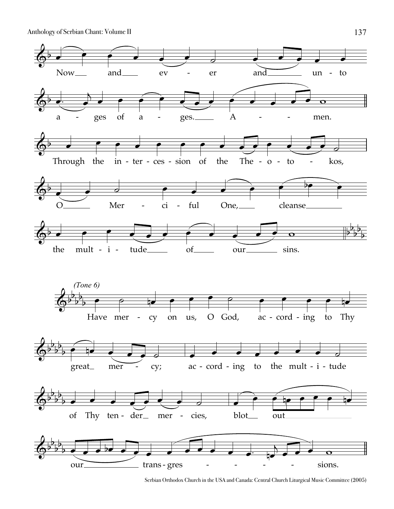Anthology of Serbian Chant: Volume II



Serbian Orthodox Church in the USA and Canada: Central Church Liturgical Music Committee (2005)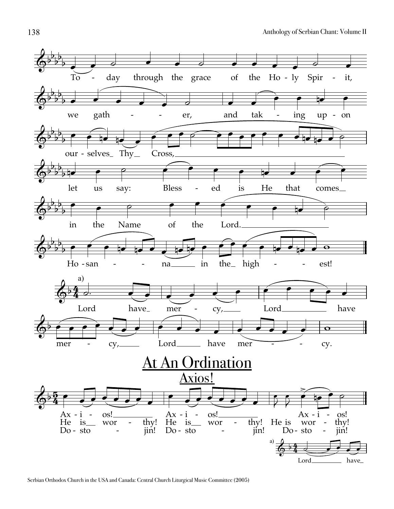

Serbian Orthodox Church in the USA and Canada: Central Church Liturgical Music Committee (2005)